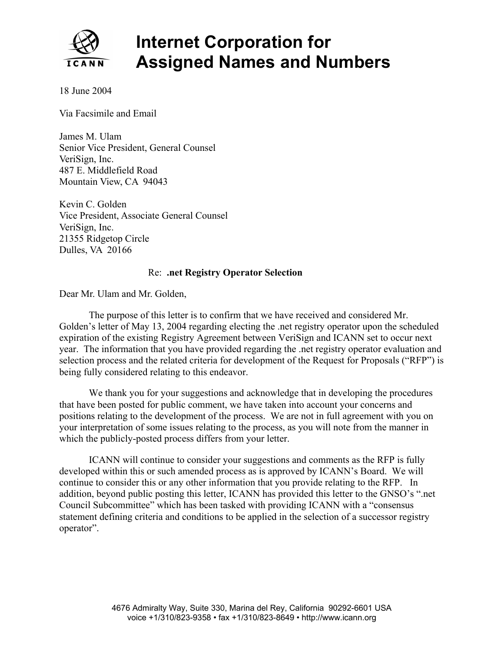

## **Internet Corporation for Assigned Names and Numbers**

18 June 2004

Via Facsimile and Email

James M. Ulam Senior Vice President, General Counsel VeriSign, Inc. 487 E. Middlefield Road Mountain View, CA 94043

Kevin C. Golden Vice President, Associate General Counsel VeriSign, Inc. 21355 Ridgetop Circle Dulles, VA 20166

## Re: **.net Registry Operator Selection**

Dear Mr. Ulam and Mr. Golden,

The purpose of this letter is to confirm that we have received and considered Mr. Golden's letter of May 13, 2004 regarding electing the .net registry operator upon the scheduled expiration of the existing Registry Agreement between VeriSign and ICANN set to occur next year. The information that you have provided regarding the .net registry operator evaluation and selection process and the related criteria for development of the Request for Proposals ("RFP") is being fully considered relating to this endeavor.

We thank you for your suggestions and acknowledge that in developing the procedures that have been posted for public comment, we have taken into account your concerns and positions relating to the development of the process. We are not in full agreement with you on your interpretation of some issues relating to the process, as you will note from the manner in which the publicly-posted process differs from your letter.

ICANN will continue to consider your suggestions and comments as the RFP is fully developed within this or such amended process as is approved by ICANN's Board. We will continue to consider this or any other information that you provide relating to the RFP. In addition, beyond public posting this letter, ICANN has provided this letter to the GNSO's ".net Council Subcommittee" which has been tasked with providing ICANN with a "consensus statement defining criteria and conditions to be applied in the selection of a successor registry operator".